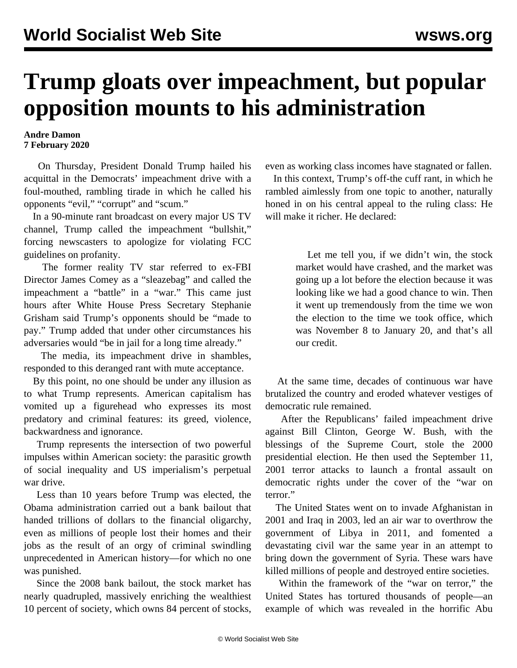## **Trump gloats over impeachment, but popular opposition mounts to his administration**

## **Andre Damon 7 February 2020**

 On Thursday, President Donald Trump hailed his acquittal in the Democrats' impeachment drive with a foul-mouthed, rambling tirade in which he called his opponents "evil," "corrupt" and "scum."

 In a 90-minute rant broadcast on every major US TV channel, Trump called the impeachment "bullshit," forcing newscasters to apologize for violating FCC guidelines on profanity.

 The former reality TV star referred to ex-FBI Director James Comey as a "sleazebag" and called the impeachment a "battle" in a "war." This came just hours after White House Press Secretary Stephanie Grisham said Trump's opponents should be "made to pay." Trump added that under other circumstances his adversaries would "be in jail for a long time already."

 The media, its impeachment drive in shambles, responded to this deranged rant with mute acceptance.

 By this point, no one should be under any illusion as to what Trump represents. American capitalism has vomited up a figurehead who expresses its most predatory and criminal features: its greed, violence, backwardness and ignorance.

 Trump represents the intersection of two powerful impulses within American society: the parasitic growth of social inequality and US imperialism's perpetual war drive.

 Less than 10 years before Trump was elected, the Obama administration carried out a bank bailout that handed trillions of dollars to the financial oligarchy, even as millions of people lost their homes and their jobs as the result of an orgy of criminal swindling unprecedented in American history—for which no one was punished.

 Since the 2008 bank bailout, the stock market has nearly quadrupled, massively enriching the wealthiest 10 percent of society, which owns 84 percent of stocks,

even as working class incomes have stagnated or fallen.

 In this context, Trump's off-the cuff rant, in which he rambled aimlessly from one topic to another, naturally honed in on his central appeal to the ruling class: He will make it richer. He declared:

> Let me tell you, if we didn't win, the stock market would have crashed, and the market was going up a lot before the election because it was looking like we had a good chance to win. Then it went up tremendously from the time we won the election to the time we took office, which was November 8 to January 20, and that's all our credit.

 At the same time, decades of continuous war have brutalized the country and eroded whatever vestiges of democratic rule remained.

 After the Republicans' failed impeachment drive against Bill Clinton, George W. Bush, with the blessings of the Supreme Court, stole the 2000 presidential election. He then used the September 11, 2001 terror attacks to launch a frontal assault on democratic rights under the cover of the "war on terror."

 The United States went on to invade Afghanistan in 2001 and Iraq in 2003, led an air war to overthrow the government of Libya in 2011, and fomented a devastating civil war the same year in an attempt to bring down the government of Syria. These wars have killed millions of people and destroyed entire societies.

 Within the framework of the "war on terror," the United States has tortured thousands of people—an example of which was revealed in the horrific Abu